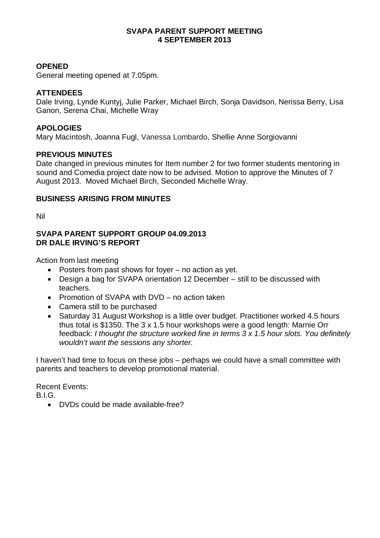#### **SVAPA PARENT SUPPORT MEETING 4 SEPTEMBER 2013**

#### **OPENED**

General meeting opened at 7.05pm.

#### **ATTENDEES**

Dale Irving, Lynde Kuntyj, Julie Parker, Michael Birch, Sonja Davidson, Nerissa Berry, Lisa Ganon, Serena Chai, Michelle Wray

#### **APOLOGIES**

Mary Macintosh, Joanna Fugl, Vanessa Lombardo, Shellie Anne Sorgiovanni

#### **PREVIOUS MINUTES**

Date changed in previous minutes for Item number 2 for two former students mentoring in sound and Comedia project date now to be advised. Motion to approve the Minutes of 7 August 2013. Moved Michael Birch, Seconded Michelle Wray.

#### **BUSINESS ARISING FROM MINUTES**

Nil

#### **SVAPA PARENT SUPPORT GROUP 04.09.2013 DR DALE IRVING'S REPORT**

Action from last meeting

- Posters from past shows for foyer no action as yet.
- Design a bag for SVAPA orientation 12 December still to be discussed with teachers.
- Promotion of SVAPA with DVD no action taken
- Camera still to be purchased
- Saturday 31 August Workshop is a little over budget. Practitioner worked 4.5 hours thus total is \$1350. The 3 x 1.5 hour workshops were a good length: Marnie Orr feedback: *I thought the structure worked fine in terms 3 x 1.5 hour slots. You definitely wouldn't want the sessions any shorter.*

I haven't had time to focus on these jobs – perhaps we could have a small committee with parents and teachers to develop promotional material.

Recent Events:

B.I.G.

• DVDs could be made available-free?